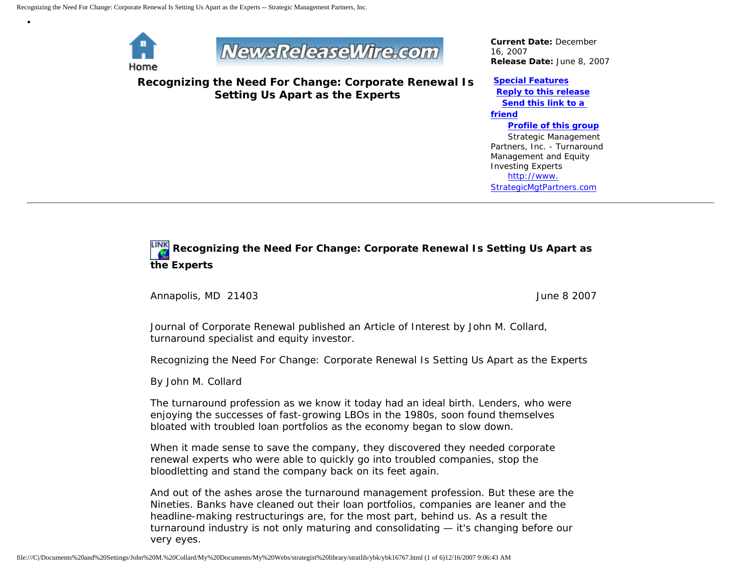

•



**Recognizing the Need For Change: Corporate Renewal Is Setting Us Apart as the Experts**

*Current Date:* December 16, 2007 *Release Date:* June 8, 2007

## **[Special Features](javascript:openlittleme() [Reply to this release](file:///C|/Documents%20and%20Settings/John%20M.%20Collard/My%20Documents/My%20Webs/strategist%20library/stratlib/ybk/default.cfm?Action=ReplyRelease&Id=16767) [Send this link to a](file:///C|/Documents%20and%20Settings/John%20M.%20Collard/My%20Documents/My%20Webs/strategist%20library/stratlib/ybk/default.cfm?Action=SendLink&SendId=16767)  [friend](file:///C|/Documents%20and%20Settings/John%20M.%20Collard/My%20Documents/My%20Webs/strategist%20library/stratlib/ybk/default.cfm?Action=SendLink&SendId=16767)**

 **[Profile of this group](file:///C|/Documents%20and%20Settings/John%20M.%20Collard/My%20Documents/My%20Webs/strategist%20library/stratlib/ybk/default.cfm?Action=Profile&ProfileId=623)** Strategic Management Partners, Inc. - Turnaround Management and Equity Investing Experts [http://www.](http://www.strategicmgtpartners.com/) [StrategicMgtPartners.com](http://www.strategicmgtpartners.com/)

## **Recognizing the Need For Change: Corporate Renewal Is Setting Us Apart as the Experts**

Annapolis, MD 21403 June 8 2007

Journal of Corporate Renewal published an Article of Interest by John M. Collard, turnaround specialist and equity investor.

Recognizing the Need For Change: Corporate Renewal Is Setting Us Apart as the Experts

By John M. Collard

The turnaround profession as we know it today had an ideal birth. Lenders, who were enjoying the successes of fast-growing LBOs in the 1980s, soon found themselves bloated with troubled loan portfolios as the economy began to slow down.

When it made sense to save the company, they discovered they needed corporate renewal experts who were able to quickly go into troubled companies, stop the bloodletting and stand the company back on its feet again.

And out of the ashes arose the turnaround management profession. But these are the Nineties. Banks have cleaned out their loan portfolios, companies are leaner and the headline-making restructurings are, for the most part, behind us. As a result the turnaround industry is not only maturing and consolidating — it's changing before our very eyes.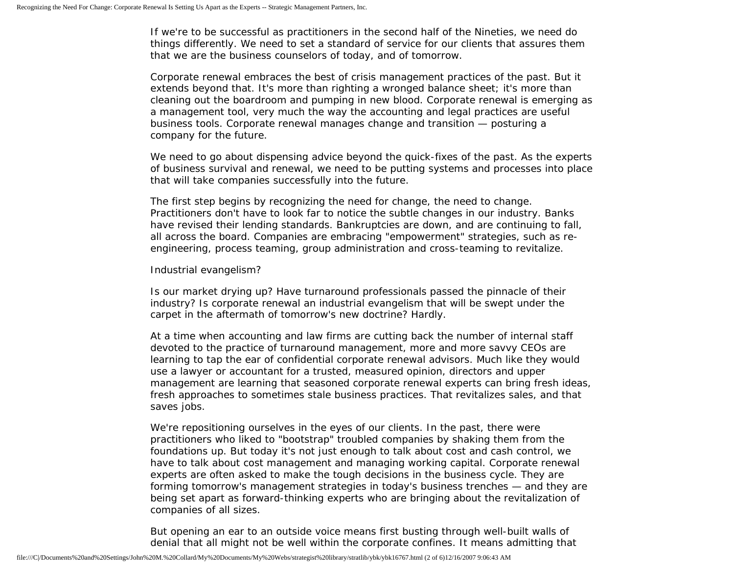If we're to be successful as practitioners in the second half of the Nineties, we need do things differently. We need to set a standard of service for our clients that assures them that we are the business counselors of today, and of tomorrow.

Corporate renewal embraces the best of crisis management practices of the past. But it extends beyond that. It's more than righting a wronged balance sheet; it's more than cleaning out the boardroom and pumping in new blood. Corporate renewal is emerging as a management tool, very much the way the accounting and legal practices are useful business tools. Corporate renewal manages change and transition — posturing a company for the future.

We need to go about dispensing advice beyond the quick-fixes of the past. As the experts of business survival and renewal, we need to be putting systems and processes into place that will take companies successfully into the future.

The first step begins by recognizing the need for change, the need to change. Practitioners don't have to look far to notice the subtle changes in our industry. Banks have revised their lending standards. Bankruptcies are down, and are continuing to fall, all across the board. Companies are embracing "empowerment" strategies, such as reengineering, process teaming, group administration and cross-teaming to revitalize.

## Industrial evangelism?

Is our market drying up? Have turnaround professionals passed the pinnacle of their industry? Is corporate renewal an industrial evangelism that will be swept under the carpet in the aftermath of tomorrow's new doctrine? Hardly.

At a time when accounting and law firms are cutting back the number of internal staff devoted to the practice of turnaround management, more and more savvy CEOs are learning to tap the ear of confidential corporate renewal advisors. Much like they would use a lawyer or accountant for a trusted, measured opinion, directors and upper management are learning that seasoned corporate renewal experts can bring fresh ideas, fresh approaches to sometimes stale business practices. That revitalizes sales, and that saves jobs.

We're repositioning ourselves in the eyes of our clients. In the past, there were practitioners who liked to "bootstrap" troubled companies by shaking them from the foundations up. But today it's not just enough to talk about cost and cash control, we have to talk about cost management and managing working capital. Corporate renewal experts are often asked to make the tough decisions in the business cycle. They are forming tomorrow's management strategies in today's business trenches — and they are being set apart as forward-thinking experts who are bringing about the revitalization of companies of all sizes.

But opening an ear to an outside voice means first busting through well-built walls of denial that all might not be well within the corporate confines. It means admitting that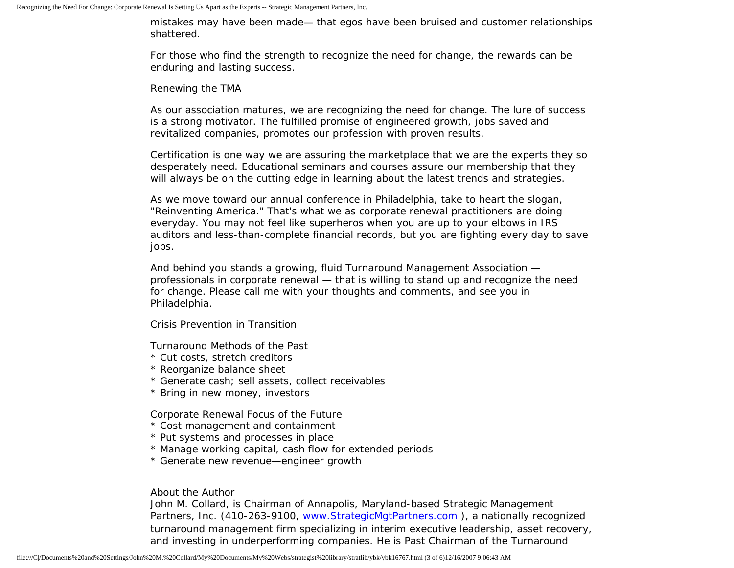mistakes may have been made— that egos have been bruised and customer relationships shattered.

For those who find the strength to recognize the need for change, the rewards can be enduring and lasting success.

Renewing the TMA

As our association matures, we are recognizing the need for change. The lure of success is a strong motivator. The fulfilled promise of engineered growth, jobs saved and revitalized companies, promotes our profession with proven results.

Certification is one way we are assuring the marketplace that we are the experts they so desperately need. Educational seminars and courses assure our membership that they will always be on the cutting edge in learning about the latest trends and strategies.

As we move toward our annual conference in Philadelphia, take to heart the slogan, "Reinventing America." That's what we as corporate renewal practitioners are doing everyday. You may not feel like superheros when you are up to your elbows in IRS auditors and less-than-complete financial records, but you are fighting every day to save jobs.

And behind you stands a growing, fluid Turnaround Management Association professionals in corporate renewal — that is willing to stand up and recognize the need for change. Please call me with your thoughts and comments, and see you in Philadelphia.

Crisis Prevention in Transition

Turnaround Methods of the Past

- \* Cut costs, stretch creditors
- \* Reorganize balance sheet
- \* Generate cash; sell assets, collect receivables
- \* Bring in new money, investors

Corporate Renewal Focus of the Future

- \* Cost management and containment
- \* Put systems and processes in place
- \* Manage working capital, cash flow for extended periods
- \* Generate new revenue—engineer growth

About the Author

John M. Collard, is Chairman of Annapolis, Maryland-based Strategic Management Partners, Inc. (410-263-9100, [www.StrategicMgtPartners.com](http://www.strategicmgtpartners.com/) ), a nationally recognized turnaround management firm specializing in interim executive leadership, asset recovery, and investing in underperforming companies. He is Past Chairman of the Turnaround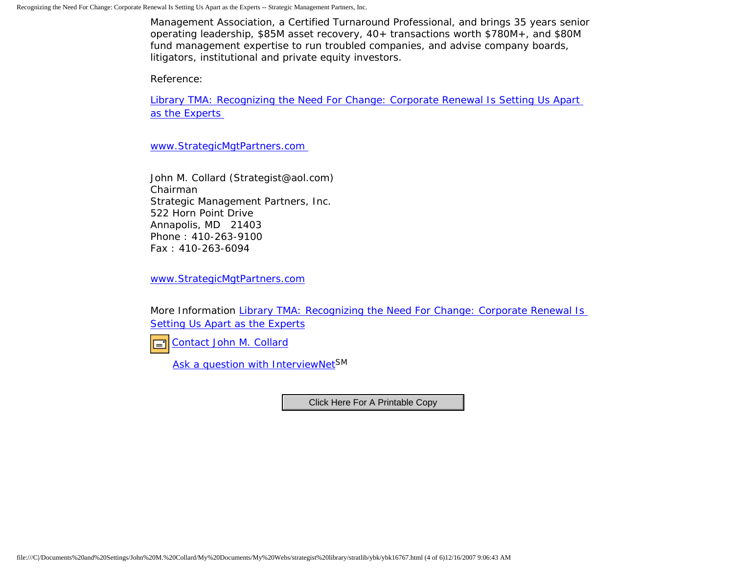Management Association, a Certified Turnaround Professional, and brings 35 years senior operating leadership, \$85M asset recovery, 40+ transactions worth \$780M+, and \$80M fund management expertise to run troubled companies, and advise company boards, litigators, institutional and private equity investors.

Reference:

[Library TMA: Recognizing the Need For Change: Corporate Renewal Is Setting Us Apart](http://www.turnaround.org/news/letter.asp?objectID=2897)  [as the Experts](http://www.turnaround.org/news/letter.asp?objectID=2897)

[www.StrategicMgtPartners.com](http://www.strategicmgtpartners.com/)

John M. Collard (Strategist@aol.com) Chairman Strategic Management Partners, Inc. 522 Horn Point Drive Annapolis, MD 21403 Phone : 410-263-9100 Fax : 410-263-6094

[www.StrategicMgtPartners.com](http://www.strategicmgtpartners.com/)

More Information Library TMA: Recognizing the Need For Change: Corporate Renewal Is [Setting Us Apart as the Experts](http://www.turnaround.org/news/letter.asp?objectID=2897)

[Contact John M. Collard](http://www.expertclick.com/expertClick/contact/default.cfm?Action=ContactExpert&GroupID=1016)  $\Box$ 

[Ask a question with InterviewNetS](http://www.expertclick.com/expertClick/contact/default.cfm?GroupID=1016)M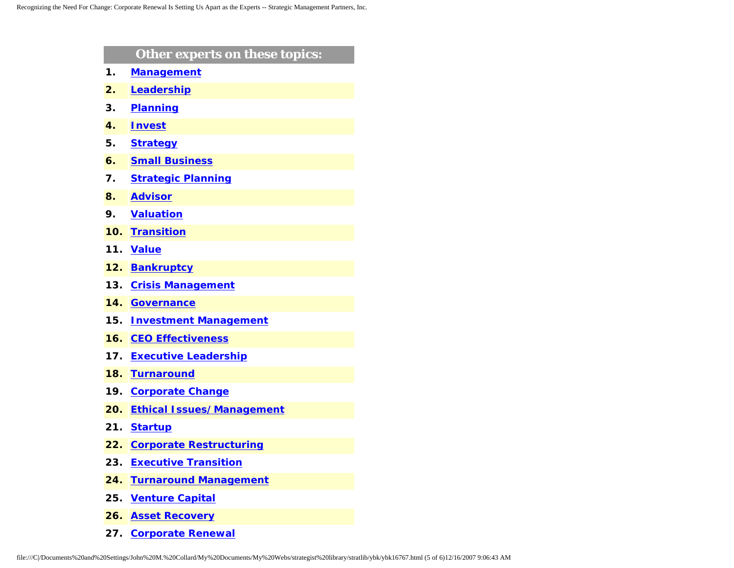|                | Other experts on these topics:   |
|----------------|----------------------------------|
| 1.             | <b>Management</b>                |
| $\mathbf{2}$ . | Leadership                       |
| 3.             | <b>Planning</b>                  |
| 4.             | <b>Invest</b>                    |
| 5.             | <b>Strategy</b>                  |
| 6.             | <b>Small Business</b>            |
| 7.             | <b>Strategic Planning</b>        |
| 8.             | <b>Advisor</b>                   |
| 9.             | <b>Valuation</b>                 |
| 10.            | <b>Transition</b>                |
| 11.            | <b>Value</b>                     |
| 12.            | <b>Bankruptcy</b>                |
| 13.            | <b>Crisis Management</b>         |
| 14.            | <b>Governance</b>                |
| 15.            | <b>Investment Management</b>     |
| 16.            | <b>CEO Effectiveness</b>         |
| 17.            | <b>Executive Leadership</b>      |
| 18.            | <b>Turnaround</b>                |
| 19.            | <b>Corporate Change</b>          |
| 20.            | <b>Ethical Issues/Management</b> |
| 21.            | <b>Startup</b>                   |
| 22.            | <b>Corporate Restructuring</b>   |
| 23.            | <b>Executive Transition</b>      |
| 24.            | <b>Turnaround Management</b>     |
| 25.            | <b>Venture Capital</b>           |
| 26.            | <b>Asset Recovery</b>            |
|                | 27. Corporate Renewal            |